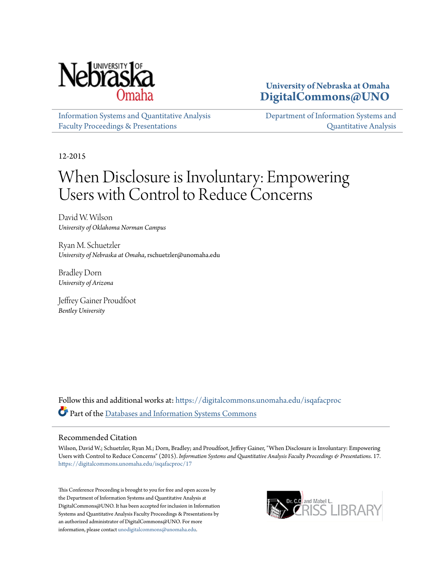

**University of Nebraska at Omaha [DigitalCommons@UNO](https://digitalcommons.unomaha.edu?utm_source=digitalcommons.unomaha.edu%2Fisqafacproc%2F17&utm_medium=PDF&utm_campaign=PDFCoverPages)**

[Information Systems and Quantitative Analysis](https://digitalcommons.unomaha.edu/isqafacproc?utm_source=digitalcommons.unomaha.edu%2Fisqafacproc%2F17&utm_medium=PDF&utm_campaign=PDFCoverPages) [Faculty Proceedings & Presentations](https://digitalcommons.unomaha.edu/isqafacproc?utm_source=digitalcommons.unomaha.edu%2Fisqafacproc%2F17&utm_medium=PDF&utm_campaign=PDFCoverPages)

[Department of Information Systems and](https://digitalcommons.unomaha.edu/isqa?utm_source=digitalcommons.unomaha.edu%2Fisqafacproc%2F17&utm_medium=PDF&utm_campaign=PDFCoverPages) [Quantitative Analysis](https://digitalcommons.unomaha.edu/isqa?utm_source=digitalcommons.unomaha.edu%2Fisqafacproc%2F17&utm_medium=PDF&utm_campaign=PDFCoverPages)

12-2015

# When Disclosure is Involuntary: Empowering Users with Control to Reduce Concerns

David W. Wilson *University of Oklahoma Norman Campus*

Ryan M. Schuetzler *University of Nebraska at Omaha*, rschuetzler@unomaha.edu

Bradley Dorn *University of Arizona*

Jeffrey Gainer Proudfoot *Bentley University*

Follow this and additional works at: [https://digitalcommons.unomaha.edu/isqafacproc](https://digitalcommons.unomaha.edu/isqafacproc?utm_source=digitalcommons.unomaha.edu%2Fisqafacproc%2F17&utm_medium=PDF&utm_campaign=PDFCoverPages) Part of the [Databases and Information Systems Commons](http://network.bepress.com/hgg/discipline/145?utm_source=digitalcommons.unomaha.edu%2Fisqafacproc%2F17&utm_medium=PDF&utm_campaign=PDFCoverPages)

#### Recommended Citation

Wilson, David W.; Schuetzler, Ryan M.; Dorn, Bradley; and Proudfoot, Jeffrey Gainer, "When Disclosure is Involuntary: Empowering Users with Control to Reduce Concerns" (2015). *Information Systems and Quantitative Analysis Faculty Proceedings & Presentations*. 17. [https://digitalcommons.unomaha.edu/isqafacproc/17](https://digitalcommons.unomaha.edu/isqafacproc/17?utm_source=digitalcommons.unomaha.edu%2Fisqafacproc%2F17&utm_medium=PDF&utm_campaign=PDFCoverPages)

This Conference Proceeding is brought to you for free and open access by the Department of Information Systems and Quantitative Analysis at DigitalCommons@UNO. It has been accepted for inclusion in Information Systems and Quantitative Analysis Faculty Proceedings & Presentations by an authorized administrator of DigitalCommons@UNO. For more information, please contact [unodigitalcommons@unomaha.edu.](mailto:unodigitalcommons@unomaha.edu)

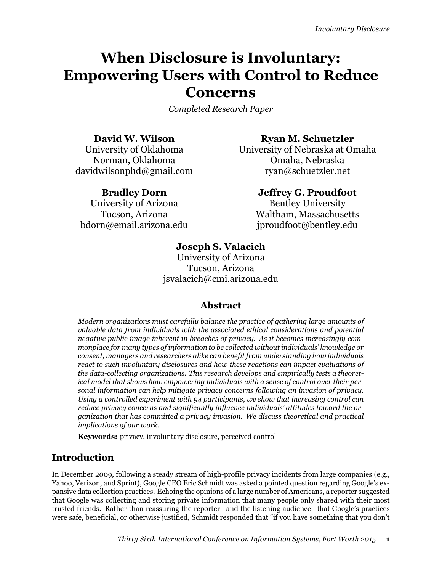# **When Disclosure is Involuntary: Empowering Users with Control to Reduce Concerns**

*Completed Research Paper*

davidwilsonphd@gmail.com ryan@schuetzler.net

University of Arizona Bentley University bdorn@email.arizona.edu iproudfoot@bentley.edu

# **David W. Wilson Ryan M. Schuetzler**

University of Oklahoma University of Nebraska at Omaha Norman, Oklahoma **Omaha, Nebraska** 

## **Bradley Dorn Jeffrey G. Proudfoot**

Tucson, Arizona Waltham, Massachusetts

# **Joseph S. Valacich**

University of Arizona Tucson, Arizona jsvalacich@cmi.arizona.edu

# **Abstract**

*Modern organizations must carefully balance the practice of gathering large amounts of valuable data from individuals with the associated ethical considerations and potential negative public image inherent in breaches of privacy. As it becomes increasingly commonplace for many types of information to be collected without individuals' knowledge or consent, managers and researchers alike can benefit from understanding how individuals react to such involuntary disclosures and how these reactions can impact evaluations of the data-collecting organizations. This research develops and empirically tests a theoretical model that shows how empowering individuals with a sense of control over their personal information can help mitigate privacy concerns following an invasion of privacy. Using a controlled experiment with 94 participants, we show that increasing control can reduce privacy concerns and significantly influence individuals' attitudes toward the organization that has committed a privacy invasion. We discuss theoretical and practical implications of our work.*

**Keywords:** privacy, involuntary disclosure, perceived control

# **Introduction**

In December 2009, following a steady stream of high-profile privacy incidents from large companies (e.g., Yahoo, Verizon, and Sprint), Google CEO Eric Schmidt was asked a pointed question regarding Google's expansive data collection practices. Echoing the opinions of a large number of Americans, a reporter suggested that Google was collecting and storing private information that many people only shared with their most trusted friends. Rather than reassuring the reporter—and the listening audience—that Google's practices were safe, beneficial, or otherwise justified, Schmidt responded that "if you have something that you don't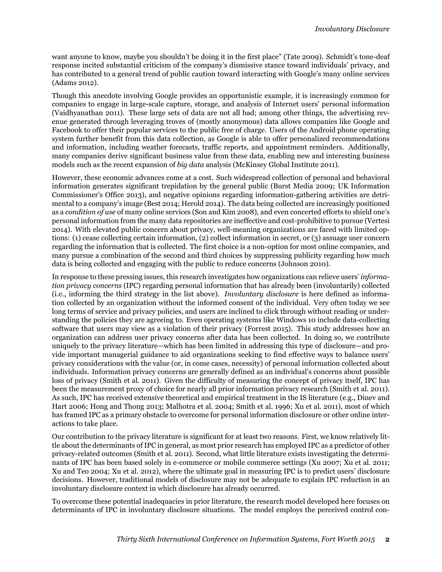want anyone to know, maybe you shouldn't be doing it in the first place" (Tate 2009). Schmidt's tone-deaf response incited substantial criticism of the company's dismissive stance toward individuals' privacy, and has contributed to a general trend of public caution toward interacting with Google's many online services (Adams 2012).

Though this anecdote involving Google provides an opportunistic example, it is increasingly common for companies to engage in large-scale capture, storage, and analysis of Internet users' personal information (Vaidhyanathan 2011). These large sets of data are not all bad; among other things, the advertising revenue generated through leveraging troves of (mostly anonymous) data allows companies like Google and Facebook to offer their popular services to the public free of charge. Users of the Android phone operating system further benefit from this data collection, as Google is able to offer personalized recommendations and information, including weather forecasts, traffic reports, and appointment reminders. Additionally, many companies derive significant business value from these data, enabling new and interesting business models such as the recent expansion of *big data* analysis (McKinsey Global Institute 2011).

However, these economic advances come at a cost. Such widespread collection of personal and behavioral information generates significant trepidation by the general public (Burst Media 2009; UK Information Commissioner's Office 2013), and negative opinions regarding information-gathering activities are detrimental to a company's image (Best 2014; Herold 2014). The data being collected are increasingly positioned as a *condition of use* of many online services (Son and Kim 2008), and even concerted efforts to shield one's personal information from the many data repositories are ineffective and cost-prohibitive to pursue (Vertesi 2014). With elevated public concern about privacy, well-meaning organizations are faced with limited options: (1) cease collecting certain information, (2) collect information in secret, or (3) assuage user concern regarding the information that is collected. The first choice is a non-option for most online companies, and many pursue a combination of the second and third choices by suppressing publicity regarding how much data is being collected and engaging with the public to reduce concerns (Johnson 2010).

In response to these pressing issues, this research investigates how organizations can relieve users' *information privacy concerns* (IPC) regarding personal information that has already been (involuntarily) collected (i.e., informing the third strategy in the list above). *Involuntary disclosure* is here defined as information collected by an organization without the informed consent of the individual. Very often today we see long terms of service and privacy policies, and users are inclined to click through without reading or understanding the policies they are agreeing to. Even operating systems like Windows 10 include data-collecting software that users may view as a violation of their privacy (Forrest 2015). This study addresses how an organization can address user privacy concerns after data has been collected. In doing so, we contribute uniquely to the privacy literature—which has been limited in addressing this type of disclosure—and provide important managerial guidance to aid organizations seeking to find effective ways to balance users' privacy considerations with the value (or, in come cases, necessity) of personal information collected about individuals. Information privacy concerns are generally defined as an individual's concerns about possible loss of privacy (Smith et al. 2011). Given the difficulty of measuring the concept of privacy itself, IPC has been the measurement proxy of choice for nearly all prior information privacy research (Smith et al. 2011). As such, IPC has received extensive theoretical and empirical treatment in the IS literature (e.g., Dinev and Hart 2006; Hong and Thong 2013; Malhotra et al. 2004; Smith et al. 1996; Xu et al. 2011), most of which has framed IPC as a primary obstacle to overcome for personal information disclosure or other online interactions to take place.

Our contribution to the privacy literature is significant for at least two reasons. First, we know relatively little about the determinants of IPC in general, as most prior research has employed IPC as a predictor of other privacy-related outcomes (Smith et al. 2011). Second, what little literature exists investigating the determinants of IPC has been based solely in e-commerce or mobile commerce settings (Xu 2007; Xu et al. 2011; Xu and Teo 2004; Xu et al. 2012), where the ultimate goal in measuring IPC is to predict users' disclosure decisions. However, traditional models of disclosure may not be adequate to explain IPC reduction in an involuntary disclosure context in which disclosure has already occurred.

To overcome these potential inadequacies in prior literature, the research model developed here focuses on determinants of IPC in involuntary disclosure situations. The model employs the perceived control con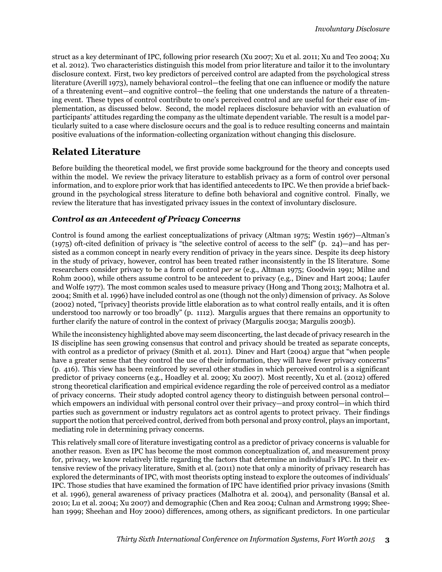struct as a key determinant of IPC, following prior research (Xu 2007; Xu et al. 2011; Xu and Teo 2004; Xu et al. 2012). Two characteristics distinguish this model from prior literature and tailor it to the involuntary disclosure context. First, two key predictors of perceived control are adapted from the psychological stress literature (Averill 1973), namely behavioral control—the feeling that one can influence or modify the nature of a threatening event—and cognitive control—the feeling that one understands the nature of a threatening event. These types of control contribute to one's perceived control and are useful for their ease of implementation, as discussed below. Second, the model replaces disclosure behavior with an evaluation of participants' attitudes regarding the company as the ultimate dependent variable. The result is a model particularly suited to a case where disclosure occurs and the goal is to reduce resulting concerns and maintain positive evaluations of the information-collecting organization without changing this disclosure.

# **Related Literature**

Before building the theoretical model, we first provide some background for the theory and concepts used within the model. We review the privacy literature to establish privacy as a form of control over personal information, and to explore prior work that has identified antecedents to IPC. We then provide a brief background in the psychological stress literature to define both behavioral and cognitive control. Finally, we review the literature that has investigated privacy issues in the context of involuntary disclosure.

#### *Control as an Antecedent of Privacy Concerns*

Control is found among the earliest conceptualizations of privacy (Altman 1975; Westin 1967)—Altman's (1975) oft-cited definition of privacy is "the selective control of access to the self" (p. 24)—and has persisted as a common concept in nearly every rendition of privacy in the years since. Despite its deep history in the study of privacy, however, control has been treated rather inconsistently in the IS literature. Some researchers consider privacy to be a form of control *per se* (e.g., Altman 1975; Goodwin 1991; Milne and Rohm 2000), while others assume control to be antecedent to privacy (e.g., Dinev and Hart 2004; Laufer and Wolfe 1977). The most common scales used to measure privacy (Hong and Thong 2013; Malhotra et al. 2004; Smith et al. 1996) have included control as one (though not the only) dimension of privacy. As Solove (2002) noted, "[privacy] theorists provide little elaboration as to what control really entails, and it is often understood too narrowly or too broadly" (p. 1112). Margulis argues that there remains an opportunity to further clarify the nature of control in the context of privacy (Margulis 2003a; Margulis 2003b).

While the inconsistency highlighted above may seem disconcerting, the last decade of privacy research in the IS discipline has seen growing consensus that control and privacy should be treated as separate concepts, with control as a predictor of privacy (Smith et al. 2011). Dinev and Hart (2004) argue that "when people have a greater sense that they control the use of their information, they will have fewer privacy concerns" (p. 416). This view has been reinforced by several other studies in which perceived control is a significant predictor of privacy concerns (e.g., Hoadley et al. 2009; Xu 2007). Most recently, Xu et al. (2012) offered strong theoretical clarification and empirical evidence regarding the role of perceived control as a mediator of privacy concerns. Their study adopted control agency theory to distinguish between personal control which empowers an individual with personal control over their privacy—and proxy control—in which third parties such as government or industry regulators act as control agents to protect privacy. Their findings support the notion that perceived control, derived from both personal and proxy control, plays an important, mediating role in determining privacy concerns.

This relatively small core of literature investigating control as a predictor of privacy concerns is valuable for another reason. Even as IPC has become the most common conceptualization of, and measurement proxy for, privacy, we know relatively little regarding the factors that determine an individual's IPC. In their extensive review of the privacy literature, Smith et al. (2011) note that only a minority of privacy research has explored the determinants of IPC, with most theorists opting instead to explore the outcomes of individuals' IPC. Those studies that have examined the formation of IPC have identified prior privacy invasions (Smith et al. 1996), general awareness of privacy practices (Malhotra et al. 2004), and personality (Bansal et al. 2010; Lu et al. 2004; Xu 2007) and demographic (Chen and Rea 2004; Culnan and Armstrong 1999; Sheehan 1999; Sheehan and Hoy 2000) differences, among others, as significant predictors. In one particular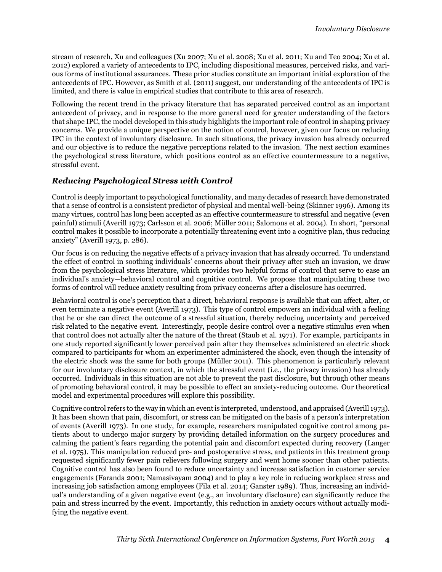stream of research, Xu and colleagues (Xu 2007; Xu et al. 2008; Xu et al. 2011; Xu and Teo 2004; Xu et al. 2012) explored a variety of antecedents to IPC, including dispositional measures, perceived risks, and various forms of institutional assurances. These prior studies constitute an important initial exploration of the antecedents of IPC. However, as Smith et al. (2011) suggest, our understanding of the antecedents of IPC is limited, and there is value in empirical studies that contribute to this area of research.

Following the recent trend in the privacy literature that has separated perceived control as an important antecedent of privacy, and in response to the more general need for greater understanding of the factors that shape IPC, the model developed in this study highlights the important role of control in shaping privacy concerns. We provide a unique perspective on the notion of control, however, given our focus on reducing IPC in the context of involuntary disclosure. In such situations, the privacy invasion has already occurred and our objective is to reduce the negative perceptions related to the invasion. The next section examines the psychological stress literature, which positions control as an effective countermeasure to a negative, stressful event.

#### *Reducing Psychological Stress with Control*

Control is deeply important to psychological functionality, and many decades of research have demonstrated that a sense of control is a consistent predictor of physical and mental well-being (Skinner 1996). Among its many virtues, control has long been accepted as an effective countermeasure to stressful and negative (even painful) stimuli (Averill 1973; Carlsson et al. 2006; Müller 2011; Salomons et al. 2004). In short, "personal control makes it possible to incorporate a potentially threatening event into a cognitive plan, thus reducing anxiety" (Averill 1973, p. 286).

Our focus is on reducing the negative effects of a privacy invasion that has already occurred. To understand the effect of control in soothing individuals' concerns about their privacy after such an invasion, we draw from the psychological stress literature, which provides two helpful forms of control that serve to ease an individual's anxiety—behavioral control and cognitive control. We propose that manipulating these two forms of control will reduce anxiety resulting from privacy concerns after a disclosure has occurred.

Behavioral control is one's perception that a direct, behavioral response is available that can affect, alter, or even terminate a negative event (Averill 1973). This type of control empowers an individual with a feeling that he or she can direct the outcome of a stressful situation, thereby reducing uncertainty and perceived risk related to the negative event. Interestingly, people desire control over a negative stimulus even when that control does not actually alter the nature of the threat (Staub et al. 1971). For example, participants in one study reported significantly lower perceived pain after they themselves administered an electric shock compared to participants for whom an experimenter administered the shock, even though the intensity of the electric shock was the same for both groups (Müller 2011). This phenomenon is particularly relevant for our involuntary disclosure context, in which the stressful event (i.e., the privacy invasion) has already occurred. Individuals in this situation are not able to prevent the past disclosure, but through other means of promoting behavioral control, it may be possible to effect an anxiety-reducing outcome. Our theoretical model and experimental procedures will explore this possibility.

Cognitive control refers to the way in which an event is interpreted, understood, and appraised (Averill 1973). It has been shown that pain, discomfort, or stress can be mitigated on the basis of a person's interpretation of events (Averill 1973). In one study, for example, researchers manipulated cognitive control among patients about to undergo major surgery by providing detailed information on the surgery procedures and calming the patient's fears regarding the potential pain and discomfort expected during recovery (Langer et al. 1975). This manipulation reduced pre- and postoperative stress, and patients in this treatment group requested significantly fewer pain relievers following surgery and went home sooner than other patients. Cognitive control has also been found to reduce uncertainty and increase satisfaction in customer service engagements (Faranda 2001; Namasivayam 2004) and to play a key role in reducing workplace stress and increasing job satisfaction among employees (Fila et al. 2014; Ganster 1989). Thus, increasing an individual's understanding of a given negative event (e.g., an involuntary disclosure) can significantly reduce the pain and stress incurred by the event. Importantly, this reduction in anxiety occurs without actually modifying the negative event.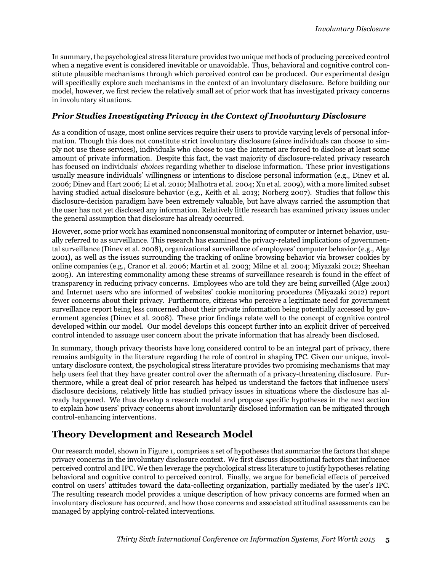In summary, the psychological stress literature provides two unique methods of producing perceived control when a negative event is considered inevitable or unavoidable. Thus, behavioral and cognitive control constitute plausible mechanisms through which perceived control can be produced. Our experimental design will specifically explore such mechanisms in the context of an involuntary disclosure. Before building our model, however, we first review the relatively small set of prior work that has investigated privacy concerns in involuntary situations.

#### *Prior Studies Investigating Privacy in the Context of Involuntary Disclosure*

As a condition of usage, most online services require their users to provide varying levels of personal information. Though this does not constitute strict involuntary disclosure (since individuals can choose to simply not use these services), individuals who choose to use the Internet are forced to disclose at least some amount of private information. Despite this fact, the vast majority of disclosure-related privacy research has focused on individuals' *choices* regarding whether to disclose information. These prior investigations usually measure individuals' willingness or intentions to disclose personal information (e.g., Dinev et al. 2006; Dinev and Hart 2006; Li et al. 2010; Malhotra et al. 2004; Xu et al. 2009), with a more limited subset having studied actual disclosure behavior (e.g., Keith et al. 2013; Norberg 2007). Studies that follow this disclosure-decision paradigm have been extremely valuable, but have always carried the assumption that the user has not yet disclosed any information. Relatively little research has examined privacy issues under the general assumption that disclosure has already occurred.

However, some prior work has examined nonconsensual monitoring of computer or Internet behavior, usually referred to as surveillance. This research has examined the privacy-related implications of governmental surveillance (Dinev et al. 2008), organizational surveillance of employees' computer behavior (e.g., Alge 2001), as well as the issues surrounding the tracking of online browsing behavior via browser cookies by online companies (e.g., Cranor et al. 2006; Martin et al. 2003; Milne et al. 2004; Miyazaki 2012; Sheehan 2005). An interesting commonality among these streams of surveillance research is found in the effect of transparency in reducing privacy concerns. Employees who are told they are being surveilled (Alge 2001) and Internet users who are informed of websites' cookie monitoring procedures (Miyazaki 2012) report fewer concerns about their privacy. Furthermore, citizens who perceive a legitimate need for government surveillance report being less concerned about their private information being potentially accessed by government agencies (Dinev et al. 2008). These prior findings relate well to the concept of cognitive control developed within our model. Our model develops this concept further into an explicit driver of perceived control intended to assuage user concern about the private information that has already been disclosed.

In summary, though privacy theorists have long considered control to be an integral part of privacy, there remains ambiguity in the literature regarding the role of control in shaping IPC. Given our unique, involuntary disclosure context, the psychological stress literature provides two promising mechanisms that may help users feel that they have greater control over the aftermath of a privacy-threatening disclosure. Furthermore, while a great deal of prior research has helped us understand the factors that influence users' disclosure decisions, relatively little has studied privacy issues in situations where the disclosure has already happened. We thus develop a research model and propose specific hypotheses in the next section to explain how users' privacy concerns about involuntarily disclosed information can be mitigated through control-enhancing interventions.

# **Theory Development and Research Model**

Our research model, shown in Figure 1, comprises a set of hypotheses that summarize the factors that shape privacy concerns in the involuntary disclosure context. We first discuss dispositional factors that influence perceived control and IPC. We then leverage the psychological stress literature to justify hypotheses relating behavioral and cognitive control to perceived control. Finally, we argue for beneficial effects of perceived control on users' attitudes toward the data-collecting organization, partially mediated by the user's IPC. The resulting research model provides a unique description of how privacy concerns are formed when an involuntary disclosure has occurred, and how those concerns and associated attitudinal assessments can be managed by applying control-related interventions.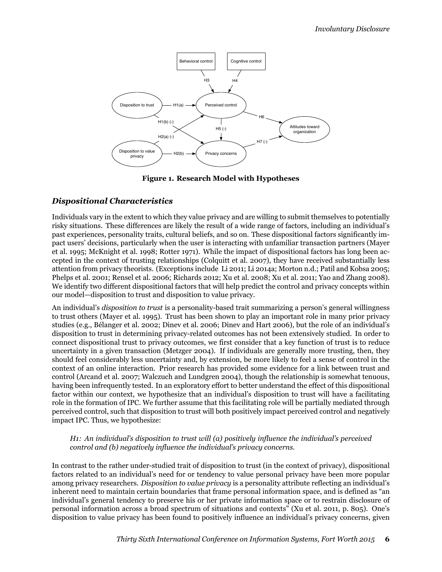

**Figure 1. Research Model with Hypotheses**

#### *Dispositional Characteristics*

Individuals vary in the extent to which they value privacy and are willing to submit themselves to potentially risky situations. These differences are likely the result of a wide range of factors, including an individual's past experiences, personality traits, cultural beliefs, and so on. These dispositional factors significantly impact users' decisions, particularly when the user is interacting with unfamiliar transaction partners (Mayer et al. 1995; McKnight et al. 1998; Rotter 1971). While the impact of dispositional factors has long been accepted in the context of trusting relationships (Colquitt et al. 2007), they have received substantially less attention from privacy theorists. (Exceptions include Li 2011; Li 2014a; Morton n.d.; Patil and Kobsa 2005; Phelps et al. 2001; Rensel et al. 2006; Richards 2012; Xu et al. 2008; Xu et al. 2011; Yao and Zhang 2008). We identify two different dispositional factors that will help predict the control and privacy concepts within our model—disposition to trust and disposition to value privacy.

An individual's *disposition to trust* is a personality-based trait summarizing a person's general willingness to trust others (Mayer et al. 1995). Trust has been shown to play an important role in many prior privacy studies (e.g., Bélanger et al. 2002; Dinev et al. 2006; Dinev and Hart 2006), but the role of an individual's disposition to trust in determining privacy-related outcomes has not been extensively studied. In order to connect dispositional trust to privacy outcomes, we first consider that a key function of trust is to reduce uncertainty in a given transaction (Metzger 2004). If individuals are generally more trusting, then, they should feel considerably less uncertainty and, by extension, be more likely to feel a sense of control in the context of an online interaction. Prior research has provided some evidence for a link between trust and control (Arcand et al. 2007; Walczuch and Lundgren 2004), though the relationship is somewhat tenuous, having been infrequently tested. In an exploratory effort to better understand the effect of this dispositional factor within our context, we hypothesize that an individual's disposition to trust will have a facilitating role in the formation of IPC. We further assume that this facilitating role will be partially mediated through perceived control, such that disposition to trust will both positively impact perceived control and negatively impact IPC. Thus, we hypothesize:

#### *H1: An individual's disposition to trust will (a) positively influence the individual's perceived control and (b) negatively influence the individual's privacy concerns.*

In contrast to the rather under-studied trait of disposition to trust (in the context of privacy), dispositional factors related to an individual's need for or tendency to value personal privacy have been more popular among privacy researchers. *Disposition to value privacy* is a personality attribute reflecting an individual's inherent need to maintain certain boundaries that frame personal information space, and is defined as "an individual's general tendency to preserve his or her private information space or to restrain disclosure of personal information across a broad spectrum of situations and contexts" (Xu et al. 2011, p. 805). One's disposition to value privacy has been found to positively influence an individual's privacy concerns, given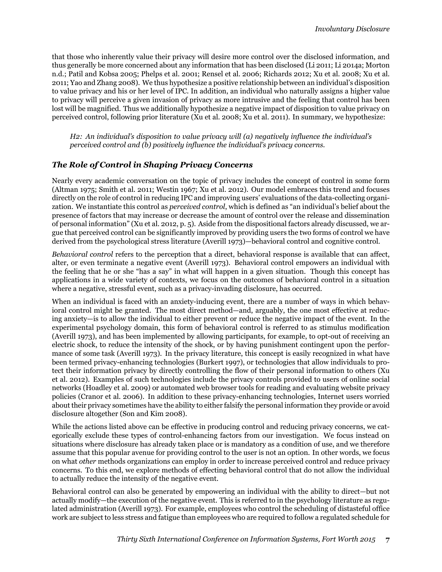that those who inherently value their privacy will desire more control over the disclosed information, and thus generally be more concerned about any information that has been disclosed (Li 2011; Li 2014a; Morton n.d.; Patil and Kobsa 2005; Phelps et al. 2001; Rensel et al. 2006; Richards 2012; Xu et al. 2008; Xu et al. 2011; Yao and Zhang 2008). We thus hypothesize a positive relationship between an individual's disposition to value privacy and his or her level of IPC. In addition, an individual who naturally assigns a higher value to privacy will perceive a given invasion of privacy as more intrusive and the feeling that control has been lost will be magnified. Thus we additionally hypothesize a negative impact of disposition to value privacy on perceived control, following prior literature (Xu et al. 2008; Xu et al. 2011). In summary, we hypothesize:

*H2: An individual's disposition to value privacy will (a) negatively influence the individual's perceived control and (b) positively influence the individual's privacy concerns.*

#### *The Role of Control in Shaping Privacy Concerns*

Nearly every academic conversation on the topic of privacy includes the concept of control in some form (Altman 1975; Smith et al. 2011; Westin 1967; Xu et al. 2012). Our model embraces this trend and focuses directly on the role of control in reducing IPC and improving users' evaluations of the data-collecting organization. We instantiate this control as *perceived control*, which is defined as "an individual's belief about the presence of factors that may increase or decrease the amount of control over the release and dissemination of personal information" (Xu et al. 2012, p. 5). Aside from the dispositional factors already discussed, we argue that perceived control can be significantly improved by providing users the two forms of control we have derived from the psychological stress literature (Averill 1973)—behavioral control and cognitive control.

*Behavioral control* refers to the perception that a direct, behavioral response is available that can affect, alter, or even terminate a negative event (Averill 1973). Behavioral control empowers an individual with the feeling that he or she "has a say" in what will happen in a given situation. Though this concept has applications in a wide variety of contexts, we focus on the outcomes of behavioral control in a situation where a negative, stressful event, such as a privacy-invading disclosure, has occurred.

When an individual is faced with an anxiety-inducing event, there are a number of ways in which behavioral control might be granted. The most direct method—and, arguably, the one most effective at reducing anxiety—is to allow the individual to either prevent or reduce the negative impact of the event. In the experimental psychology domain, this form of behavioral control is referred to as stimulus modification (Averill 1973), and has been implemented by allowing participants, for example, to opt-out of receiving an electric shock, to reduce the intensity of the shock, or by having punishment contingent upon the performance of some task (Averill 1973). In the privacy literature, this concept is easily recognized in what have been termed privacy-enhancing technologies (Burkert 1997), or technologies that allow individuals to protect their information privacy by directly controlling the flow of their personal information to others (Xu et al. 2012). Examples of such technologies include the privacy controls provided to users of online social networks (Hoadley et al. 2009) or automated web browser tools for reading and evaluating website privacy policies (Cranor et al. 2006). In addition to these privacy-enhancing technologies, Internet users worried about their privacy sometimes have the ability to either falsify the personal information they provide or avoid disclosure altogether (Son and Kim 2008).

While the actions listed above can be effective in producing control and reducing privacy concerns, we categorically exclude these types of control-enhancing factors from our investigation. We focus instead on situations where disclosure has already taken place or is mandatory as a condition of use, and we therefore assume that this popular avenue for providing control to the user is not an option. In other words, we focus on what *other* methods organizations can employ in order to increase perceived control and reduce privacy concerns. To this end, we explore methods of effecting behavioral control that do not allow the individual to actually reduce the intensity of the negative event.

Behavioral control can also be generated by empowering an individual with the ability to direct—but not actually modify—the execution of the negative event. This is referred to in the psychology literature as regulated administration (Averill 1973). For example, employees who control the scheduling of distasteful office work are subject to less stress and fatigue than employees who are required to follow a regulated schedule for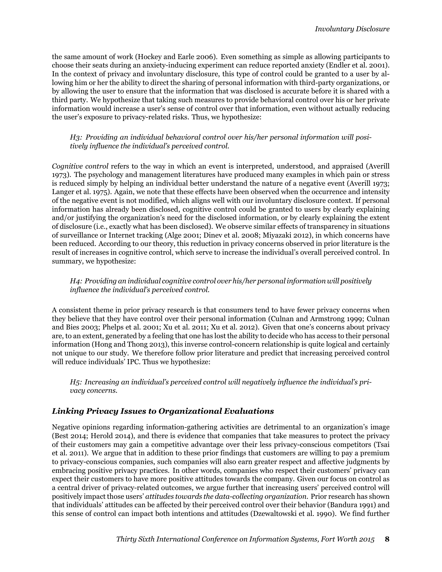the same amount of work (Hockey and Earle 2006). Even something as simple as allowing participants to choose their seats during an anxiety-inducing experiment can reduce reported anxiety (Endler et al. 2001). In the context of privacy and involuntary disclosure, this type of control could be granted to a user by allowing him or her the ability to direct the sharing of personal information with third-party organizations, or by allowing the user to ensure that the information that was disclosed is accurate before it is shared with a third party. We hypothesize that taking such measures to provide behavioral control over his or her private information would increase a user's sense of control over that information, even without actually reducing the user's exposure to privacy-related risks. Thus, we hypothesize:

*H3: Providing an individual behavioral control over his/her personal information will positively influence the individual's perceived control.*

*Cognitive control* refers to the way in which an event is interpreted, understood, and appraised (Averill 1973). The psychology and management literatures have produced many examples in which pain or stress is reduced simply by helping an individual better understand the nature of a negative event (Averill 1973; Langer et al. 1975). Again, we note that these effects have been observed when the occurrence and intensity of the negative event is not modified, which aligns well with our involuntary disclosure context. If personal information has already been disclosed, cognitive control could be granted to users by clearly explaining and/or justifying the organization's need for the disclosed information, or by clearly explaining the extent of disclosure (i.e., exactly what has been disclosed). We observe similar effects of transparency in situations of surveillance or Internet tracking (Alge 2001; Dinev et al. 2008; Miyazaki 2012), in which concerns have been reduced. According to our theory, this reduction in privacy concerns observed in prior literature is the result of increases in cognitive control, which serve to increase the individual's overall perceived control. In summary, we hypothesize:

*H4: Providing an individual cognitive control over his/her personal information will positively influence the individual's perceived control.*

A consistent theme in prior privacy research is that consumers tend to have fewer privacy concerns when they believe that they have control over their personal information (Culnan and Armstrong 1999; Culnan and Bies 2003; Phelps et al. 2001; Xu et al. 2011; Xu et al. 2012). Given that one's concerns about privacy are, to an extent, generated by a feeling that one has lost the ability to decide who has access to their personal information (Hong and Thong 2013), this inverse control-concern relationship is quite logical and certainly not unique to our study. We therefore follow prior literature and predict that increasing perceived control will reduce individuals' IPC. Thus we hypothesize:

*H5: Increasing an individual's perceived control will negatively influence the individual's privacy concerns.*

#### *Linking Privacy Issues to Organizational Evaluations*

Negative opinions regarding information-gathering activities are detrimental to an organization's image (Best 2014; Herold 2014), and there is evidence that companies that take measures to protect the privacy of their customers may gain a competitive advantage over their less privacy-conscious competitors (Tsai et al. 2011). We argue that in addition to these prior findings that customers are willing to pay a premium to privacy-conscious companies, such companies will also earn greater respect and affective judgments by embracing positive privacy practices. In other words, companies who respect their customers' privacy can expect their customers to have more positive attitudes towards the company. Given our focus on control as a central driver of privacy-related outcomes, we argue further that increasing users' perceived control will positively impact those users' *attitudes towards the data-collecting organization*. Prior research has shown that individuals' attitudes can be affected by their perceived control over their behavior (Bandura 1991) and this sense of control can impact both intentions and attitudes (Dzewaltowski et al. 1990). We find further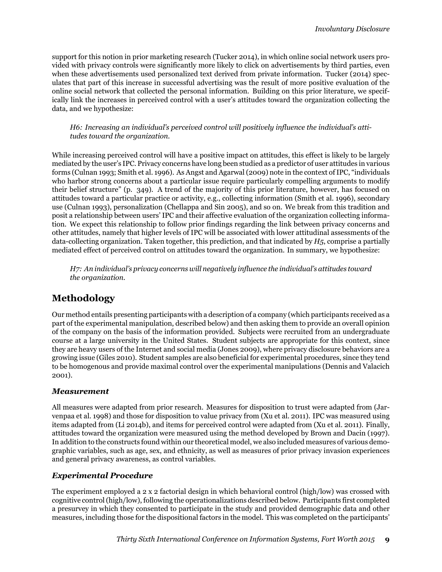support for this notion in prior marketing research (Tucker 2014), in which online social network users provided with privacy controls were significantly more likely to click on advertisements by third parties, even when these advertisements used personalized text derived from private information. Tucker (2014) speculates that part of this increase in successful advertising was the result of more positive evaluation of the online social network that collected the personal information. Building on this prior literature, we specifically link the increases in perceived control with a user's attitudes toward the organization collecting the data, and we hypothesize:

*H6: Increasing an individual's perceived control will positively influence the individual's attitudes toward the organization.*

While increasing perceived control will have a positive impact on attitudes, this effect is likely to be largely mediated by the user's IPC. Privacy concerns have long been studied as a predictor of user attitudes in various forms (Culnan 1993; Smith et al. 1996). As Angst and Agarwal (2009) note in the context of IPC, "individuals who harbor strong concerns about a particular issue require particularly compelling arguments to modify their belief structure" (p. 349). A trend of the majority of this prior literature, however, has focused on attitudes toward a particular practice or activity, e.g., collecting information (Smith et al. 1996), secondary use (Culnan 1993), personalization (Chellappa and Sin 2005), and so on. We break from this tradition and posit a relationship between users' IPC and their affective evaluation of the organization collecting information. We expect this relationship to follow prior findings regarding the link between privacy concerns and other attitudes, namely that higher levels of IPC will be associated with lower attitudinal assessments of the data-collecting organization. Taken together, this prediction, and that indicated by *H5*, comprise a partially mediated effect of perceived control on attitudes toward the organization. In summary, we hypothesize:

*H7: An individual's privacy concerns will negatively influence the individual's attitudes toward the organization.*

# **Methodology**

Our method entails presenting participants with a description of a company (which participants received as a part of the experimental manipulation, described below) and then asking them to provide an overall opinion of the company on the basis of the information provided. Subjects were recruited from an undergraduate course at a large university in the United States. Student subjects are appropriate for this context, since they are heavy users of the Internet and social media (Jones 2009), where privacy disclosure behaviors are a growing issue (Giles 2010). Student samples are also beneficial for experimental procedures, since they tend to be homogenous and provide maximal control over the experimental manipulations (Dennis and Valacich 2001).

### *Measurement*

All measures were adapted from prior research. Measures for disposition to trust were adapted from (Jarvenpaa et al. 1998) and those for disposition to value privacy from (Xu et al. 2011). IPC was measured using items adapted from (Li 2014b), and items for perceived control were adapted from (Xu et al. 2011). Finally, attitudes toward the organization were measured using the method developed by Brown and Dacin (1997). In addition to the constructs found within our theoretical model, we also included measures of various demographic variables, such as age, sex, and ethnicity, as well as measures of prior privacy invasion experiences and general privacy awareness, as control variables.

### *Experimental Procedure*

The experiment employed a 2 x 2 factorial design in which behavioral control (high/low) was crossed with cognitive control (high/low), following the operationalizations described below. Participants first completed a presurvey in which they consented to participate in the study and provided demographic data and other measures, including those for the dispositional factors in the model. This was completed on the participants'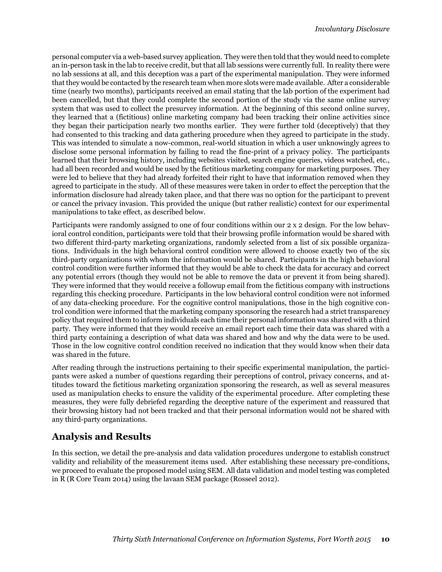personal computer via a web-based survey application. They were then told that they would need to complete an in-person task in the lab to receive credit, but that all lab sessions were currently full. In reality there were no lab sessions at all, and this deception was a part of the experimental manipulation. They were informed that they would be contacted by the research team when more slots were made available. After a considerable time (nearly two months), participants received an email stating that the lab portion of the experiment had been cancelled, but that they could complete the second portion of the study via the same online survey system that was used to collect the presurvey information. At the beginning of this second online survey, they learned that a (fictitious) online marketing company had been tracking their online activities since they began their participation nearly two months earlier. They were further told (deceptively) that they had consented to this tracking and data gathering procedure when they agreed to participate in the study. This was intended to simulate a now-common, real-world situation in which a user unknowingly agrees to disclose some personal information by failing to read the fine-print of a privacy policy. The participants learned that their browsing history, including websites visited, search engine queries, videos watched, etc., had all been recorded and would be used by the fictitious marketing company for marketing purposes. They were led to believe that they had already forfeited their right to have that information removed when they agreed to participate in the study. All of these measures were taken in order to effect the perception that the information disclosure had already taken place, and that there was no option for the participant to prevent or cancel the privacy invasion. This provided the unique (but rather realistic) context for our experimental manipulations to take effect, as described below.

Participants were randomly assigned to one of four conditions within our 2 x 2 design. For the low behavioral control condition, participants were told that their browsing profile information would be shared with two different third-party marketing organizations, randomly selected from a list of six possible organizations. Individuals in the high behavioral control condition were allowed to choose exactly two of the six third-party organizations with whom the information would be shared. Participants in the high behavioral control condition were further informed that they would be able to check the data for accuracy and correct any potential errors (though they would not be able to remove the data or prevent it from being shared). They were informed that they would receive a followup email from the fictitious company with instructions regarding this checking procedure. Participants in the low behavioral control condition were not informed of any data-checking procedure. For the cognitive control manipulations, those in the high cognitive control condition were informed that the marketing company sponsoring the research had a strict transparency policy that required them to inform individuals each time their personal information was shared with a third party. They were informed that they would receive an email report each time their data was shared with a third party containing a description of what data was shared and how and why the data were to be used. Those in the low cognitive control condition received no indication that they would know when their data was shared in the future.

After reading through the instructions pertaining to their specific experimental manipulation, the participants were asked a number of questions regarding their perceptions of control, privacy concerns, and attitudes toward the fictitious marketing organization sponsoring the research, as well as several measures used as manipulation checks to ensure the validity of the experimental procedure. After completing these measures, they were fully debriefed regarding the deceptive nature of the experiment and reassured that their browsing history had not been tracked and that their personal information would not be shared with any third-party organizations.

# **Analysis and Results**

In this section, we detail the pre-analysis and data validation procedures undergone to establish construct validity and reliability of the measurement items used. After establishing these necessary pre-conditions, we proceed to evaluate the proposed model using SEM. All data validation and model testing was completed in R (R Core Team 2014) using the lavaan SEM package (Rosseel 2012).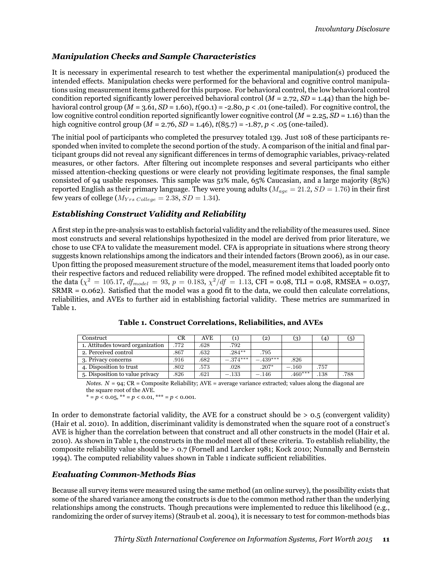#### *Manipulation Checks and Sample Characteristics*

It is necessary in experimental research to test whether the experimental manipulation(s) produced the intended effects. Manipulation checks were performed for the behavioral and cognitive control manipulations using measurement items gathered for this purpose. For behavioral control, the low behavioral control condition reported significantly lower perceived behavioral control ( $M = 2.72$ ,  $SD = 1.44$ ) than the high behavioral control group  $(M = 3.61, SD = 1.60)$ ,  $t(90.1) = -2.80$ ,  $p < .01$  (one-tailed). For cognitive control, the low cognitive control condition reported significantly lower cognitive control (*M* = 2.25, *SD* = 1.16) than the high cognitive control group  $(M = 2.76, SD = 1.46)$ ,  $t(85.7) = -1.87, p < .05$  (one-tailed).

The initial pool of participants who completed the presurvey totaled 139. Just 108 of these participants responded when invited to complete the second portion of the study. A comparison of the initial and final participant groups did not reveal any significant differences in terms of demographic variables, privacy-related measures, or other factors. After filtering out incomplete responses and several participants who either missed attention-checking questions or were clearly not providing legitimate responses, the final sample consisted of 94 usable responses. This sample was 51% male, 65% Caucasian, and a large majority (85%) reported English as their primary language. They were young adults ( $M_{age} = 21.2$ ,  $SD = 1.76$ ) in their first few years of college ( $M_{Yrs \ College} = 2.38$ ,  $SD = 1.34$ ).

#### *Establishing Construct Validity and Reliability*

A first step in the pre-analysis was to establish factorial validity and the reliability of the measures used. Since most constructs and several relationships hypothesized in the model are derived from prior literature, we chose to use CFA to validate the measurement model. CFA is appropriate in situations where strong theory suggests known relationships among the indicators and their intended factors (Brown 2006), as in our case. Upon fitting the proposed measurement structure of the model, measurement items that loaded poorly onto their respective factors and reduced reliability were dropped. The refined model exhibited acceptable fit to the data ( $\chi^2 = 105.17$ ,  $df_{model} = 93$ ,  $p = 0.183$ ,  $\chi^2/df = 1.13$ , CFI = 0.98, TLI = 0.98, RMSEA = 0.037, SRMR = 0.062). Satisfied that the model was a good fit to the data, we could then calculate correlations, reliabilities, and AVEs to further aid in establishing factorial validity. These metrics are summarized in Table 1.

| Construct                        | CR   | <b>AVE</b> |           | (2)        | (3)      | (4)  | (5)  |
|----------------------------------|------|------------|-----------|------------|----------|------|------|
| 1. Attitudes toward organization | .772 | .628       | .792      |            |          |      |      |
| 2. Perceived control             | .867 | .632       | $.284***$ | .795       |          |      |      |
| 3. Privacy concerns              | .916 | .682       | $-374***$ | $-.439***$ | .826     |      |      |
| 4. Disposition to trust          | .802 | .573       | .028      | $.207*$    | $-.160$  | .757 |      |
| 5. Disposition to value privacy  | .826 | .621       | $-.133$   | $-.146$    | $460***$ | 138  | .788 |

**Table 1. Construct Correlations, Reliabilities, and AVEs**

*Notes*.  $N = 94$ ; CR = Composite Reliability; AVE = average variance extracted; values along the diagonal are the square root of the AVE.

\* = *p* < 0.05, \*\* = *p* < 0.01, \*\*\* = *p* < 0.001.

In order to demonstrate factorial validity, the AVE for a construct should be  $> 0.5$  (convergent validity) (Hair et al. 2010). In addition, discriminant validity is demonstrated when the square root of a construct's AVE is higher than the correlation between that construct and all other constructs in the model (Hair et al. 2010). As shown in Table 1, the constructs in the model meet all of these criteria. To establish reliability, the composite reliability value should be > 0.7 (Fornell and Larcker 1981; Kock 2010; Nunnally and Bernstein 1994). The computed reliability values shown in Table 1 indicate sufficient reliabilities.

#### *Evaluating Common-Methods Bias*

Because all survey items were measured using the same method (an online survey), the possibility exists that some of the shared variance among the constructs is due to the common method rather than the underlying relationships among the constructs. Though precautions were implemented to reduce this likelihood (e.g., randomizing the order of survey items) (Straub et al. 2004), it is necessary to test for common-methods bias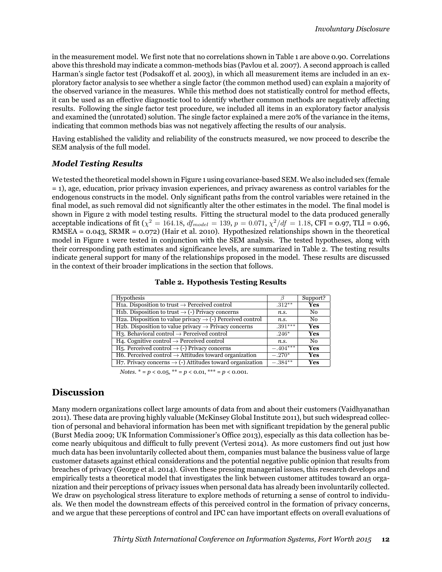in the measurement model. We first note that no correlations shown in Table 1 are above 0.90. Correlations above this threshold may indicate a common-methods bias (Pavlou et al. 2007). A second approach is called Harman's single factor test (Podsakoff et al. 2003), in which all measurement items are included in an exploratory factor analysis to see whether a single factor (the common method used) can explain a majority of the observed variance in the measures. While this method does not statistically control for method effects, it can be used as an effective diagnostic tool to identify whether common methods are negatively affecting results. Following the single factor test procedure, we included all items in an exploratory factor analysis and examined the (unrotated) solution. The single factor explained a mere 20% of the variance in the items, indicating that common methods bias was not negatively affecting the results of our analysis.

Having established the validity and reliability of the constructs measured, we now proceed to describe the SEM analysis of the full model.

#### *Model Testing Results*

We tested the theoretical model shown in Figure 1 using covariance-based SEM. We also included sex (female = 1), age, education, prior privacy invasion experiences, and privacy awareness as control variables for the endogenous constructs in the model. Only significant paths from the control variables were retained in the final model, as such removal did not significantly alter the other estimates in the model. The final model is shown in Figure 2 with model testing results. Fitting the structural model to the data produced generally acceptable indications of fit ( $\chi^2 = 164.18$ ,  $df_{model} = 139$ ,  $p = 0.071$ ,  $\chi^2/df = 1.18$ , CFI = 0.97, TLI = 0.96, RMSEA = 0.043, SRMR = 0.072) (Hair et al. 2010). Hypothesized relationships shown in the theoretical model in Figure 1 were tested in conjunction with the SEM analysis. The tested hypotheses, along with their corresponding path estimates and significance levels, are summarized in Table 2. The testing results indicate general support for many of the relationships proposed in the model. These results are discussed in the context of their broader implications in the section that follows.

| Hypothesis                                                                    | Β          | Support?       |
|-------------------------------------------------------------------------------|------------|----------------|
| H <sub>1a</sub> . Disposition to trust $\rightarrow$ Perceived control        | $.312**$   | Yes            |
| H <sub>1</sub> b. Disposition to trust $\rightarrow$ (-) Privacy concerns     | n.s.       | No.            |
| H2a. Disposition to value privacy $\rightarrow$ (-) Perceived control         | n.s.       | N <sub>0</sub> |
| H <sub>2</sub> b. Disposition to value privacy $\rightarrow$ Privacy concerns | $.391***$  | Yes            |
| $H_3$ . Behavioral control $\rightarrow$ Perceived control                    | $.246*$    | <b>Yes</b>     |
| H4. Cognitive control $\rightarrow$ Perceived control                         | n.s.       | N <sub>0</sub> |
| H <sub>5</sub> . Perceived control $\rightarrow$ (-) Privacy concerns         | $-.404***$ | <b>Yes</b>     |
| H6. Perceived control $\rightarrow$ Attitudes toward organization             | $-.270*$   | <b>Yes</b>     |
| H7. Privacy concerns $\rightarrow$ (-) Attitudes toward organization          | $-.384**$  | Yes            |

#### **Table 2. Hypothesis Testing Results**

*Notes.*  $* = p < 0.05$ ,  $** = p < 0.01$ ,  $** = p < 0.001$ .

# **Discussion**

Many modern organizations collect large amounts of data from and about their customers (Vaidhyanathan 2011). These data are proving highly valuable (McKinsey Global Institute 2011), but such widespread collection of personal and behavioral information has been met with significant trepidation by the general public (Burst Media 2009; UK Information Commissioner's Office 2013), especially as this data collection has become nearly ubiquitous and difficult to fully prevent (Vertesi 2014). As more customers find out just how much data has been involuntarily collected about them, companies must balance the business value of large customer datasets against ethical considerations and the potential negative public opinion that results from breaches of privacy (George et al. 2014). Given these pressing managerial issues, this research develops and empirically tests a theoretical model that investigates the link between customer attitudes toward an organization and their perceptions of privacy issues when personal data has already been involuntarily collected. We draw on psychological stress literature to explore methods of returning a sense of control to individuals. We then model the downstream effects of this perceived control in the formation of privacy concerns, and we argue that these perceptions of control and IPC can have important effects on overall evaluations of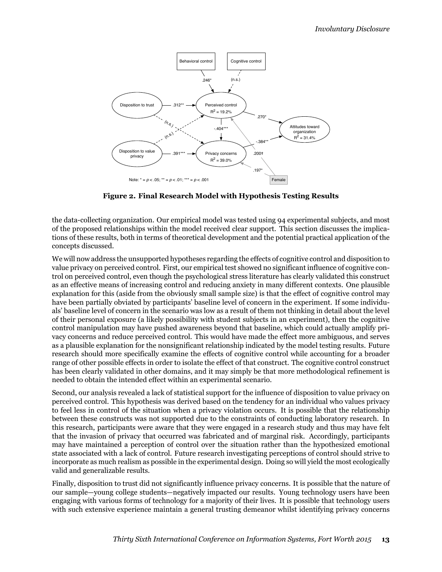

**Figure 2. Final Research Model with Hypothesis Testing Results**

the data-collecting organization. Our empirical model was tested using 94 experimental subjects, and most of the proposed relationships within the model received clear support. This section discusses the implications of these results, both in terms of theoretical development and the potential practical application of the concepts discussed.

We will now address the unsupported hypotheses regarding the effects of cognitive control and disposition to value privacy on perceived control. First, our empirical test showed no significant influence of cognitive control on perceived control, even though the psychological stress literature has clearly validated this construct as an effective means of increasing control and reducing anxiety in many different contexts. One plausible explanation for this (aside from the obviously small sample size) is that the effect of cognitive control may have been partially obviated by participants' baseline level of concern in the experiment. If some individuals' baseline level of concern in the scenario was low as a result of them not thinking in detail about the level of their personal exposure (a likely possibility with student subjects in an experiment), then the cognitive control manipulation may have pushed awareness beyond that baseline, which could actually amplify privacy concerns and reduce perceived control. This would have made the effect more ambiguous, and serves as a plausible explanation for the nonsignificant relationship indicated by the model testing results. Future research should more specifically examine the effects of cognitive control while accounting for a broader range of other possible effects in order to isolate the effect of that construct. The cognitive control construct has been clearly validated in other domains, and it may simply be that more methodological refinement is needed to obtain the intended effect within an experimental scenario.

Second, our analysis revealed a lack of statistical support for the influence of disposition to value privacy on perceived control. This hypothesis was derived based on the tendency for an individual who values privacy to feel less in control of the situation when a privacy violation occurs. It is possible that the relationship between these constructs was not supported due to the constraints of conducting laboratory research. In this research, participants were aware that they were engaged in a research study and thus may have felt that the invasion of privacy that occurred was fabricated and of marginal risk. Accordingly, participants may have maintained a perception of control over the situation rather than the hypothesized emotional state associated with a lack of control. Future research investigating perceptions of control should strive to incorporate as much realism as possible in the experimental design. Doing so will yield the most ecologically valid and generalizable results.

Finally, disposition to trust did not significantly influence privacy concerns. It is possible that the nature of our sample—young college students—negatively impacted our results. Young technology users have been engaging with various forms of technology for a majority of their lives. It is possible that technology users with such extensive experience maintain a general trusting demeanor whilst identifying privacy concerns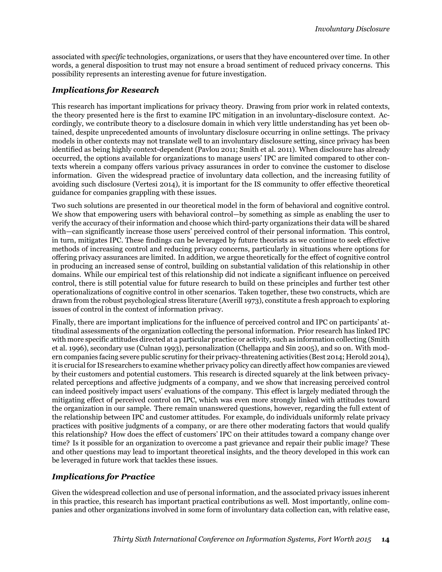associated with *specific* technologies, organizations, or users that they have encountered over time. In other words, a general disposition to trust may not ensure a broad sentiment of reduced privacy concerns. This possibility represents an interesting avenue for future investigation.

#### *Implications for Research*

This research has important implications for privacy theory. Drawing from prior work in related contexts, the theory presented here is the first to examine IPC mitigation in an involuntary-disclosure context. Accordingly, we contribute theory to a disclosure domain in which very little understanding has yet been obtained, despite unprecedented amounts of involuntary disclosure occurring in online settings. The privacy models in other contexts may not translate well to an involuntary disclosure setting, since privacy has been identified as being highly context-dependent (Pavlou 2011; Smith et al. 2011). When disclosure has already occurred, the options available for organizations to manage users' IPC are limited compared to other contexts wherein a company offers various privacy assurances in order to convince the customer to disclose information. Given the widespread practice of involuntary data collection, and the increasing futility of avoiding such disclosure (Vertesi 2014), it is important for the IS community to offer effective theoretical guidance for companies grappling with these issues.

Two such solutions are presented in our theoretical model in the form of behavioral and cognitive control. We show that empowering users with behavioral control—by something as simple as enabling the user to verify the accuracy of their information and choose which third-party organizations their data will be shared with—can significantly increase those users' perceived control of their personal information. This control, in turn, mitigates IPC. These findings can be leveraged by future theorists as we continue to seek effective methods of increasing control and reducing privacy concerns, particularly in situations where options for offering privacy assurances are limited. In addition, we argue theoretically for the effect of cognitive control in producing an increased sense of control, building on substantial validation of this relationship in other domains. While our empirical test of this relationship did not indicate a significant influence on perceived control, there is still potential value for future research to build on these principles and further test other operationalizations of cognitive control in other scenarios. Taken together, these two constructs, which are drawn from the robust psychological stress literature (Averill 1973), constitute a fresh approach to exploring issues of control in the context of information privacy.

Finally, there are important implications for the influence of perceived control and IPC on participants' attitudinal assessments of the organization collecting the personal information. Prior research has linked IPC with more specific attitudes directed at a particular practice or activity, such as information collecting (Smith et al. 1996), secondary use (Culnan 1993), personalization (Chellappa and Sin 2005), and so on. With modern companies facing severe public scrutiny for their privacy-threatening activities (Best 2014; Herold 2014), it is crucial for IS researchers to examine whether privacy policy can directly affect how companies are viewed by their customers and potential customers. This research is directed squarely at the link between privacyrelated perceptions and affective judgments of a company, and we show that increasing perceived control can indeed positively impact users' evaluations of the company. This effect is largely mediated through the mitigating effect of perceived control on IPC, which was even more strongly linked with attitudes toward the organization in our sample. There remain unanswered questions, however, regarding the full extent of the relationship between IPC and customer attitudes. For example, do individuals uniformly relate privacy practices with positive judgments of a company, or are there other moderating factors that would qualify this relationship? How does the effect of customers' IPC on their attitudes toward a company change over time? Is it possible for an organization to overcome a past grievance and repair their public image? These and other questions may lead to important theoretical insights, and the theory developed in this work can be leveraged in future work that tackles these issues.

### *Implications for Practice*

Given the widespread collection and use of personal information, and the associated privacy issues inherent in this practice, this research has important practical contributions as well. Most importantly, online companies and other organizations involved in some form of involuntary data collection can, with relative ease,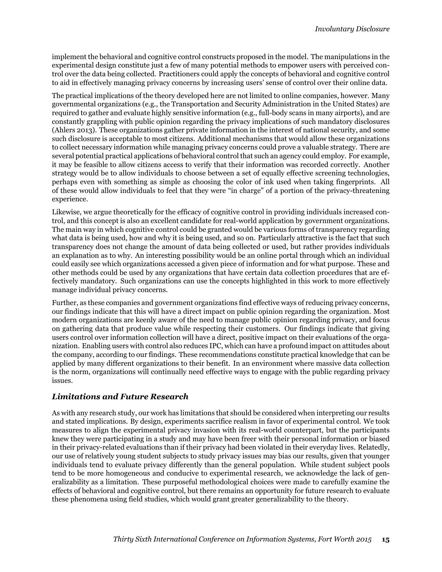implement the behavioral and cognitive control constructs proposed in the model. The manipulations in the experimental design constitute just a few of many potential methods to empower users with perceived control over the data being collected. Practitioners could apply the concepts of behavioral and cognitive control to aid in effectively managing privacy concerns by increasing users' sense of control over their online data.

The practical implications of the theory developed here are not limited to online companies, however. Many governmental organizations (e.g., the Transportation and Security Administration in the United States) are required to gather and evaluate highly sensitive information (e.g., full-body scans in many airports), and are constantly grappling with public opinion regarding the privacy implications of such mandatory disclosures (Ahlers 2013). These organizations gather private information in the interest of national security, and some such disclosure is acceptable to most citizens. Additional mechanisms that would allow these organizations to collect necessary information while managing privacy concerns could prove a valuable strategy. There are several potential practical applications of behavioral control that such an agency could employ. For example, it may be feasible to allow citizens access to verify that their information was recorded correctly. Another strategy would be to allow individuals to choose between a set of equally effective screening technologies, perhaps even with something as simple as choosing the color of ink used when taking fingerprints. All of these would allow individuals to feel that they were "in charge" of a portion of the privacy-threatening experience.

Likewise, we argue theoretically for the efficacy of cognitive control in providing individuals increased control, and this concept is also an excellent candidate for real-world application by government organizations. The main way in which cognitive control could be granted would be various forms of transparency regarding what data is being used, how and why it is being used, and so on. Particularly attractive is the fact that such transparency does not change the amount of data being collected or used, but rather provides individuals an explanation as to why. An interesting possibility would be an online portal through which an individual could easily see which organizations accessed a given piece of information and for what purpose. These and other methods could be used by any organizations that have certain data collection procedures that are effectively mandatory. Such organizations can use the concepts highlighted in this work to more effectively manage individual privacy concerns.

Further, as these companies and government organizations find effective ways of reducing privacy concerns, our findings indicate that this will have a direct impact on public opinion regarding the organization. Most modern organizations are keenly aware of the need to manage public opinion regarding privacy, and focus on gathering data that produce value while respecting their customers. Our findings indicate that giving users control over information collection will have a direct, positive impact on their evaluations of the organization. Enabling users with control also reduces IPC, which can have a profound impact on attitudes about the company, according to our findings. These recommendations constitute practical knowledge that can be applied by many different organizations to their benefit. In an environment where massive data collection is the norm, organizations will continually need effective ways to engage with the public regarding privacy issues.

#### *Limitations and Future Research*

As with any research study, our work has limitations that should be considered when interpreting our results and stated implications. By design, experiments sacrifice realism in favor of experimental control. We took measures to align the experimental privacy invasion with its real-world counterpart, but the participants knew they were participating in a study and may have been freer with their personal information or biased in their privacy-related evaluations than if their privacy had been violated in their everyday lives. Relatedly, our use of relatively young student subjects to study privacy issues may bias our results, given that younger individuals tend to evaluate privacy differently than the general population. While student subject pools tend to be more homogeneous and conducive to experimental research, we acknowledge the lack of generalizability as a limitation. These purposeful methodological choices were made to carefully examine the effects of behavioral and cognitive control, but there remains an opportunity for future research to evaluate these phenomena using field studies, which would grant greater generalizability to the theory.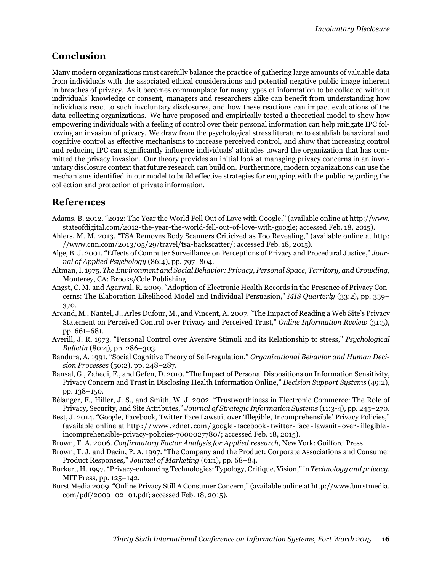# **Conclusion**

Many modern organizations must carefully balance the practice of gathering large amounts of valuable data from individuals with the associated ethical considerations and potential negative public image inherent in breaches of privacy. As it becomes commonplace for many types of information to be collected without individuals' knowledge or consent, managers and researchers alike can benefit from understanding how individuals react to such involuntary disclosures, and how these reactions can impact evaluations of the data-collecting organizations. We have proposed and empirically tested a theoretical model to show how empowering individuals with a feeling of control over their personal information can help mitigate IPC following an invasion of privacy. We draw from the psychological stress literature to establish behavioral and cognitive control as effective mechanisms to increase perceived control, and show that increasing control and reducing IPC can significantly influence individuals' attitudes toward the organization that has committed the privacy invasion. Our theory provides an initial look at managing privacy concerns in an involuntary disclosure context that future research can build on. Furthermore, modern organizations can use the mechanisms identified in our model to build effective strategies for engaging with the public regarding the collection and protection of private information.

# **References**

- Adams, B. 2012. "2012: The Year the World Fell Out of Love with Google," (available online at http://www. stateofdigital.com/2012-the-year-the-world-fell-out-of-love-with-google; accessed Feb. 18, 2015).
- Ahlers, M. M. 2013. "TSA Removes Body Scanners Criticized as Too Revealing," (available online at http: //www.cnn.com/2013/05/29/travel/tsa-backscatter/; accessed Feb. 18, 2015).
- Alge, B. J. 2001. "Effects of Computer Surveillance on Perceptions of Privacy and Procedural Justice," *Journal of Applied Psychology* (86:4), pp. 797–804.
- Altman, I. 1975. *The Environment and Social Behavior: Privacy, Personal Space, Territory, and Crowding,* Monterey, CA: Brooks/Cole Publishing.
- Angst, C. M. and Agarwal, R. 2009. "Adoption of Electronic Health Records in the Presence of Privacy Concerns: The Elaboration Likelihood Model and Individual Persuasion," *MIS Quarterly* (33:2), pp. 339– 370.
- Arcand, M., Nantel, J., Arles Dufour, M., and Vincent, A. 2007. "The Impact of Reading a Web Site's Privacy Statement on Perceived Control over Privacy and Perceived Trust," *Online Information Review* (31:5), pp. 661–681.
- Averill, J. R. 1973. "Personal Control over Aversive Stimuli and its Relationship to stress," *Psychological Bulletin* (80:4), pp. 286–303.
- Bandura, A. 1991. "Social Cognitive Theory of Self-regulation," *Organizational Behavior and Human Decision Processes* (50:2), pp. 248–287.
- Bansal, G., Zahedi, F., and Gefen, D. 2010. "The Impact of Personal Dispositions on Information Sensitivity, Privacy Concern and Trust in Disclosing Health Information Online," *Decision Support Systems* (49:2), pp. 138–150.
- Bélanger, F., Hiller, J. S., and Smith, W. J. 2002. "Trustworthiness in Electronic Commerce: The Role of Privacy, Security, and Site Attributes," *Journal of Strategic Information Systems* (11:3-4), pp. 245–270.
- Best, J. 2014. "Google, Facebook, Twitter Face Lawsuit over 'Illegible, Incomprehensible' Privacy Policies," (available online at http : / / www. zdnet. com / google - facebook - twitter - face - lawsuit - over - illegible incomprehensible-privacy-policies-7000027780/; accessed Feb. 18, 2015).
- Brown, T. A. 2006. *Confirmatory Factor Analysis for Applied research,* New York: Guilford Press.
- Brown, T. J. and Dacin, P. A. 1997. "The Company and the Product: Corporate Associations and Consumer Product Responses," *Journal of Marketing* (61:1), pp. 68–84.
- Burkert, H. 1997. "Privacy-enhancing Technologies: Typology, Critique, Vision," in *Technology and privacy,* MIT Press, pp. 125–142.
- Burst Media 2009. "Online Privacy Still A Consumer Concern," (available online at http://www.burstmedia. com/pdf/2009\_02\_01.pdf; accessed Feb. 18, 2015).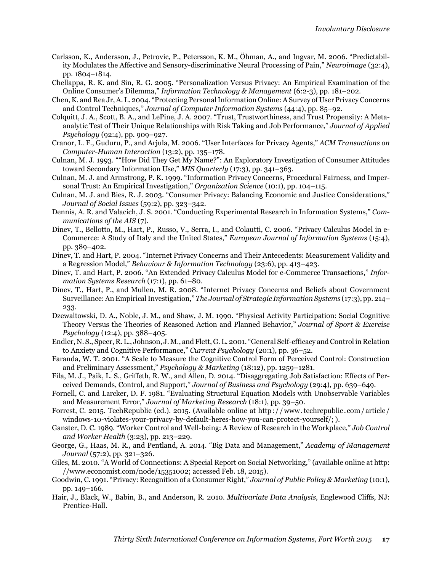- Carlsson, K., Andersson, J., Petrovic, P., Petersson, K. M., Öhman, A., and Ingvar, M. 2006. "Predictability Modulates the Affective and Sensory-discriminative Neural Processing of Pain," *Neuroimage* (32:4), pp. 1804–1814.
- Chellappa, R. K. and Sin, R. G. 2005. "Personalization Versus Privacy: An Empirical Examination of the Online Consumer's Dilemma," *Information Technology & Management* (6:2-3), pp. 181–202.
- Chen, K. and Rea Jr, A. L. 2004. "Protecting Personal Information Online: A Survey of User Privacy Concerns and Control Techniques," *Journal of Computer Information Systems* (44:4), pp. 85–92.
- Colquitt, J. A., Scott, B. A., and LePine, J. A. 2007. "Trust, Trustworthiness, and Trust Propensity: A Metaanalytic Test of Their Unique Relationships with Risk Taking and Job Performance," *Journal of Applied Psychology* (92:4), pp. 909–927.
- Cranor, L. F., Guduru, P., and Arjula, M. 2006. "User Interfaces for Privacy Agents," *ACM Transactions on Computer-Human Interaction* (13:2), pp. 135–178.
- Culnan, M. J. 1993. ""How Did They Get My Name?": An Exploratory Investigation of Consumer Attitudes toward Secondary Information Use," *MIS Quarterly* (17:3), pp. 341–363.
- Culnan, M. J. and Armstrong, P. K. 1999. "Information Privacy Concerns, Procedural Fairness, and Impersonal Trust: An Empirical Investigation," *Organization Science* (10:1), pp. 104–115.
- Culnan, M. J. and Bies, R. J. 2003. "Consumer Privacy: Balancing Economic and Justice Considerations," *Journal of Social Issues* (59:2), pp. 323–342.
- Dennis, A. R. and Valacich, J. S. 2001. "Conducting Experimental Research in Information Systems," *Communications of the AIS* (7).
- Dinev, T., Bellotto, M., Hart, P., Russo, V., Serra, I., and Colautti, C. 2006. "Privacy Calculus Model in e-Commerce: A Study of Italy and the United States," *European Journal of Information Systems* (15:4), pp. 389–402.
- Dinev, T. and Hart, P. 2004. "Internet Privacy Concerns and Their Antecedents: Measurement Validity and a Regression Model," *Behaviour & Information Technology* (23:6), pp. 413–423.
- Dinev, T. and Hart, P. 2006. "An Extended Privacy Calculus Model for e-Commerce Transactions," *Information Systems Research* (17:1), pp. 61–80.
- Dinev, T., Hart, P., and Mullen, M. R. 2008. "Internet Privacy Concerns and Beliefs about Government Surveillance: An Empirical Investigation," *The Journal of Strategic Information Systems* (17:3), pp. 214– 233.
- Dzewaltowski, D. A., Noble, J. M., and Shaw, J. M. 1990. "Physical Activity Participation: Social Cognitive Theory Versus the Theories of Reasoned Action and Planned Behavior," *Journal of Sport & Exercise Psychology* (12:4), pp. 388–405.
- Endler, N. S., Speer, R. L., Johnson, J. M., and Flett, G. L. 2001. "General Self-efficacy and Control in Relation to Anxiety and Cognitive Performance," *Current Psychology* (20:1), pp. 36–52.
- Faranda, W. T. 2001. "A Scale to Measure the Cognitive Control Form of Perceived Control: Construction and Preliminary Assessment," *Psychology & Marketing* (18:12), pp. 1259–1281.
- Fila, M. J., Paik, L. S., Griffeth, R. W., and Allen, D. 2014. "Disaggregating Job Satisfaction: Effects of Perceived Demands, Control, and Support," *Journal of Business and Psychology* (29:4), pp. 639–649.
- Fornell, C. and Larcker, D. F. 1981. "Evaluating Structural Equation Models with Unobservable Variables and Measurement Error," *Journal of Marketing Research* (18:1), pp. 39–50.
- Forrest, C. 2015. TechRepublic (ed.). 2015. (Available online at http : / / www. techrepublic. com / article / windows-10-violates-your-privacy-by-default-heres-how-you-can-protect-yourself/; ).
- Ganster, D. C. 1989. "Worker Control and Well-being: A Review of Research in the Workplace," *Job Control and Worker Health* (3:23), pp. 213–229.
- George, G., Haas, M. R., and Pentland, A. 2014. "Big Data and Management," *Academy of Management Journal* (57:2), pp. 321–326.
- Giles, M. 2010. "A World of Connections: A Special Report on Social Networking," (available online at http: //www.economist.com/node/15351002; accessed Feb. 18, 2015).
- Goodwin, C. 1991. "Privacy: Recognition of a Consumer Right," *Journal of Public Policy & Marketing* (10:1), pp. 149–166.
- Hair, J., Black, W., Babin, B., and Anderson, R. 2010. *Multivariate Data Analysis,* Englewood Cliffs, NJ: Prentice-Hall.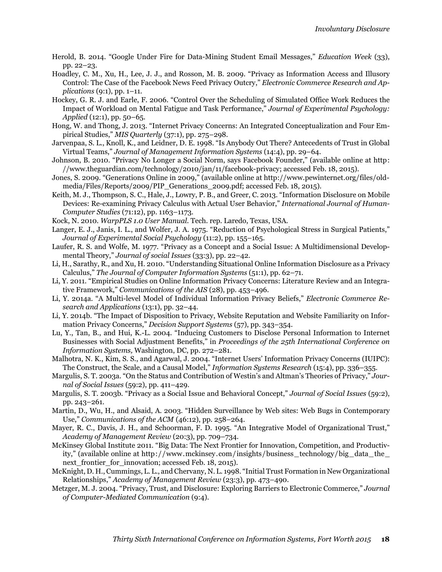Herold, B. 2014. "Google Under Fire for Data-Mining Student Email Messages," *Education Week* (33), pp. 22–23.

Hoadley, C. M., Xu, H., Lee, J. J., and Rosson, M. B. 2009. "Privacy as Information Access and Illusory Control: The Case of the Facebook News Feed Privacy Outcry," *Electronic Commerce Research and Applications* (9:1), pp. 1–11.

- Hockey, G. R. J. and Earle, F. 2006. "Control Over the Scheduling of Simulated Office Work Reduces the Impact of Workload on Mental Fatigue and Task Performance," *Journal of Experimental Psychology: Applied* (12:1), pp. 50–65.
- Hong, W. and Thong, J. 2013. "Internet Privacy Concerns: An Integrated Conceptualization and Four Empirical Studies," *MIS Quarterly* (37:1), pp. 275–298.
- Jarvenpaa, S. L., Knoll, K., and Leidner, D. E. 1998. "Is Anybody Out There? Antecedents of Trust in Global Virtual Teams," *Journal of Management Information Systems* (14:4), pp. 29–64.
- Johnson, B. 2010. "Privacy No Longer a Social Norm, says Facebook Founder," (available online at http : //www.theguardian.com/technology/2010/jan/11/facebook-privacy; accessed Feb. 18, 2015).
- Jones, S. 2009. "Generations Online in 2009," (available online at http://www.pewinternet.org/files/oldmedia/Files/Reports/2009/PIP\_Generations\_2009.pdf; accessed Feb. 18, 2015).
- Keith, M. J., Thompson, S. C., Hale, J., Lowry, P. B., and Greer, C. 2013. "Information Disclosure on Mobile Devices: Re-examining Privacy Calculus with Actual User Behavior," *International Journal of Human-Computer Studies* (71:12), pp. 1163–1173.
- Kock, N. 2010. *WarpPLS 1.0 User Manual*. Tech. rep. Laredo, Texas, USA.
- Langer, E. J., Janis, I. L., and Wolfer, J. A. 1975. "Reduction of Psychological Stress in Surgical Patients," *Journal of Experimental Social Psychology* (11:2), pp. 155–165.
- Laufer, R. S. and Wolfe, M. 1977. "Privacy as a Concept and a Social Issue: A Multidimensional Developmental Theory," *Journal of social Issues* (33:3), pp. 22–42.
- Li, H., Sarathy, R., and Xu, H. 2010. "Understanding Situational Online Information Disclosure as a Privacy Calculus," *The Journal of Computer Information Systems* (51:1), pp. 62–71.
- Li, Y. 2011. "Empirical Studies on Online Information Privacy Concerns: Literature Review and an Integrative Framework," *Communications of the AIS* (28), pp. 453–496.
- Li, Y. 2014a. "A Multi-level Model of Individual Information Privacy Beliefs," *Electronic Commerce Research and Applications* (13:1), pp. 32–44.
- Li, Y. 2014b. "The Impact of Disposition to Privacy, Website Reputation and Website Familiarity on Information Privacy Concerns," *Decision Support Systems* (57), pp. 343–354.
- Lu, Y., Tan, B., and Hui, K.-L. 2004. "Inducing Customers to Disclose Personal Information to Internet Businesses with Social Adjustment Benefits," in *Proceedings of the 25th International Conference on Information Systems,* Washington, DC, pp. 272–281.
- Malhotra, N. K., Kim, S. S., and Agarwal, J. 2004. "Internet Users' Information Privacy Concerns (IUIPC): The Construct, the Scale, and a Causal Model," *Information Systems Research* (15:4), pp. 336–355.
- Margulis, S. T. 2003a. "On the Status and Contribution of Westin's and Altman's Theories of Privacy," *Journal of Social Issues* (59:2), pp. 411–429.
- Margulis, S. T. 2003b. "Privacy as a Social Issue and Behavioral Concept," *Journal of Social Issues* (59:2), pp. 243–261.
- Martin, D., Wu, H., and Alsaid, A. 2003. "Hidden Surveillance by Web sites: Web Bugs in Contemporary Use," *Communications of the ACM* (46:12), pp. 258–264.
- Mayer, R. C., Davis, J. H., and Schoorman, F. D. 1995. "An Integrative Model of Organizational Trust," *Academy of Management Review* (20:3), pp. 709–734.
- McKinsey Global Institute 2011. "Big Data: The Next Frontier for Innovation, Competition, and Productivity," (available online at http ://www.mckinsey.com/insights/business\_ technology/big\_data\_ the\_ next frontier for innovation; accessed Feb. 18, 2015).
- McKnight, D. H., Cummings, L. L., and Chervany, N. L. 1998. "Initial Trust Formation in New Organizational Relationships," *Academy of Management Review* (23:3), pp. 473–490.
- Metzger, M. J. 2004. "Privacy, Trust, and Disclosure: Exploring Barriers to Electronic Commerce," *Journal of Computer-Mediated Communication* (9:4).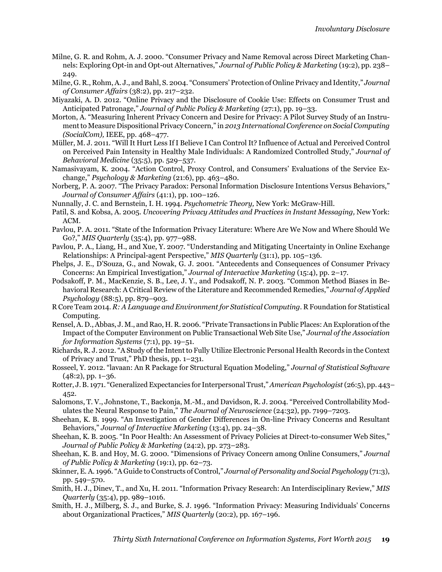- Milne, G. R. and Rohm, A. J. 2000. "Consumer Privacy and Name Removal across Direct Marketing Channels: Exploring Opt-in and Opt-out Alternatives," *Journal of Public Policy & Marketing* (19:2), pp. 238– 249.
- Milne, G. R., Rohm, A. J., and Bahl, S. 2004. "Consumers' Protection of Online Privacy and Identity," *Journal of Consumer Affairs* (38:2), pp. 217–232.
- Miyazaki, A. D. 2012. "Online Privacy and the Disclosure of Cookie Use: Effects on Consumer Trust and Anticipated Patronage," *Journal of Public Policy & Marketing* (27:1), pp. 19–33.
- Morton, A. "Measuring Inherent Privacy Concern and Desire for Privacy: A Pilot Survey Study of an Instrument to Measure Dispositional Privacy Concern," in *2013 International Conference on Social Computing (SocialCom),* IEEE, pp. 468–477.
- Müller, M. J. 2011. "Will It Hurt Less If I Believe I Can Control It? Influence of Actual and Perceived Control on Perceived Pain Intensity in Healthy Male Individuals: A Randomized Controlled Study," *Journal of Behavioral Medicine* (35:5), pp. 529–537.
- Namasivayam, K. 2004. "Action Control, Proxy Control, and Consumers' Evaluations of the Service Exchange," *Psychology & Marketing* (21:6), pp. 463–480.
- Norberg, P. A. 2007. "The Privacy Paradox: Personal Information Disclosure Intentions Versus Behaviors," *Journal of Consumer Affairs* (41:1), pp. 100–126.
- Nunnally, J. C. and Bernstein, I. H. 1994. *Psychometric Theory,* New York: McGraw-Hill.
- Patil, S. and Kobsa, A. 2005. *Uncovering Privacy Attitudes and Practices in Instant Messaging,* New York: ACM.
- Pavlou, P. A. 2011. "State of the Information Privacy Literature: Where Are We Now and Where Should We Go?," *MIS Quarterly* (35:4), pp. 977–988.
- Pavlou, P. A., Liang, H., and Xue, Y. 2007. "Understanding and Mitigating Uncertainty in Online Exchange Relationships: A Principal-agent Perspective," *MIS Quarterly* (31:1), pp. 105–136.
- Phelps, J. E., D'Souza, G., and Nowak, G. J. 2001. "Antecedents and Consequences of Consumer Privacy Concerns: An Empirical Investigation," *Journal of Interactive Marketing* (15:4), pp. 2–17.
- Podsakoff, P. M., MacKenzie, S. B., Lee, J. Y., and Podsakoff, N. P. 2003. "Common Method Biases in Behavioral Research: A Critical Review of the Literature and Recommended Remedies," *Journal of Applied Psychology* (88:5), pp. 879–903.
- R Core Team 2014. *R: A Language and Environment for Statistical Computing*. R Foundation for Statistical Computing.
- Rensel, A. D., Abbas, J. M., and Rao, H. R. 2006. "Private Transactions in Public Places: An Exploration of the Impact of the Computer Environment on Public Transactional Web Site Use," *Journal of the Association for Information Systems* (7:1), pp. 19–51.
- Richards, R. J. 2012. "A Study of the Intent to Fully Utilize Electronic Personal Health Records in the Context of Privacy and Trust," PhD thesis, pp. 1–231.
- Rosseel, Y. 2012. "lavaan: An R Package for Structural Equation Modeling," *Journal of Statistical Software*  $(48:2)$ , pp. 1–36.
- Rotter, J. B. 1971. "Generalized Expectancies for Interpersonal Trust,"*American Psychologist* (26:5), pp. 443– 452.
- Salomons, T. V., Johnstone, T., Backonja, M.-M., and Davidson, R. J. 2004. "Perceived Controllability Modulates the Neural Response to Pain," *The Journal of Neuroscience* (24:32), pp. 7199–7203.
- Sheehan, K. B. 1999. "An Investigation of Gender Differences in On-line Privacy Concerns and Resultant Behaviors," *Journal of Interactive Marketing* (13:4), pp. 24–38.
- Sheehan, K. B. 2005. "In Poor Health: An Assessment of Privacy Policies at Direct-to-consumer Web Sites," *Journal of Public Policy & Marketing* (24:2), pp. 273–283.
- Sheehan, K. B. and Hoy, M. G. 2000. "Dimensions of Privacy Concern among Online Consumers," *Journal of Public Policy & Marketing* (19:1), pp. 62–73.
- Skinner, E. A. 1996. "A Guide to Constructs of Control," *Journal of Personality and Social Psychology* (71:3), pp. 549–570.
- Smith, H. J., Dinev, T., and Xu, H. 2011. "Information Privacy Research: An Interdisciplinary Review," *MIS Quarterly* (35:4), pp. 989–1016.
- Smith, H. J., Milberg, S. J., and Burke, S. J. 1996. "Information Privacy: Measuring Individuals' Concerns about Organizational Practices," *MIS Quarterly* (20:2), pp. 167–196.